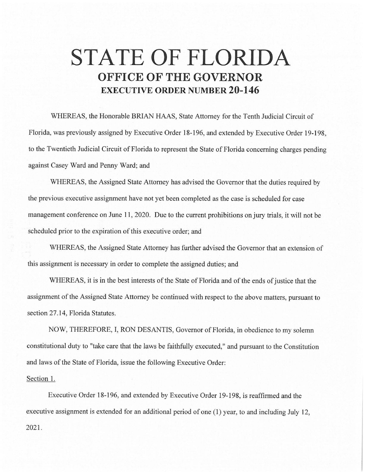## **STATE OF FLORIDA OFFICE OF THE GOVERNOR EXECUTIVE ORDER NUMBER 20-146**

WHEREAS, the Honorable BRIAN HAAS, State Attorney for the Tenth Judicial Circuit of Florida, was previously assigned by Executive Order 18-196, and extended by Executive Order 19-198, to the Twentieth Judicial Circuit of Florida to represent the State of Florida concerning charges pending against Casey Ward and Penny Ward; and

WHEREAS, the Assigned State Attorney has advised the Governor that the duties required by the previous executive assignment have not yet been completed as the case is scheduled for case management conference on June 11, 2020. Due to the current prohibitions on jury trials, it will not be scheduled prior to the expiration of this executive order; and

WHEREAS, the Assigned State Attorney has further advised the Governor that an extension of this assignment is necessary in order to complete the assigned duties; and

WHEREAS, it is in the best interests of the State of Florida and of the ends of justice that the assignment of the Assigned State Attorney be continued with respect to the above matters, pursuant to section 27.14, Florida Statutes.

NOW, THEREFORE, I, RON DESANTIS, Governor of Florida, in obedience to my solemn constitutional duty to "take care that the laws be faithfully executed," and pursuant to the Constitution and laws of the State of Florida, issue the following Executive Order:

## Section 1.

Executive Order 18-196, and extended by Executive Order 19-198, is reaffirmed and the executive assignment is extended for an additional period of one (I) year, to and including July 12, 2021.